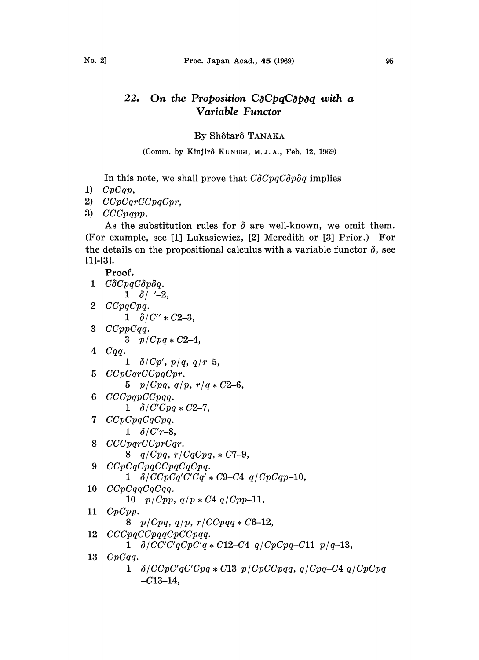## On the Proposition C $\delta$ CpqC $\delta$ p $\delta$ q with a  $22.$ Variable Functor

## By Sh6tar6 TANAKA

(Comm. by Kinjirô KUNUGI, M.J.A., Feb. 12, 1969)

In this note, we shall prove that  $C\delta CpqC\delta p\delta q$  implies

- 1)  $CpCqp$ ,
- 2) CCpCqrCCpqCpr,
- 3)  $CCCpqpp.$

As the substitution rules for  $\delta$  are well-known, we omit them. (For example, see [1] Lukasiewicz, [2] Meredith or [3] Prior.) For the details on the propositional calculus with a variable functor  $\delta$ , see  $[1]$ - $[3]$ .

```
Proof.
1 C\delta CpqC\delta p\delta q.
        1 \delta / '-2,
2 CCpqCpq.
        1 \delta/C'' * C2-3,
3 CCppCqq.
        3 p/Cpq*C2-4,
 4 Cqq.
        1 \delta/Cp', p/q, q/r-5,
 5 CCpCqrCCpqCpr.
        5 p/Cpq, q/p, r/q \leq C2-6,
 6 CCCpqpCCpqq.
        1 \delta/C'Cpq*C2-7,
 7 CCpCpqCqCpq.
        1 \delta/C'r-8,
 8 CCCpqrCCprCqr.
        8 q/Cpq, r/CqCpq, \ast C7-9,
 9 CCpCqCpqCCpqCqCpq.
        1 \delta/CCpCq'C'Cq' * C9-C4 q/CpCqp-10,10 CCpCqqCqCqq.
        10 p / Cpp, q / p * C4 q / Cpp - 11,
11 CpCpp.
        8 p/Cpq, q/p, r/CCpqq*C6-12,12 CCCpqCCpqqCpCCpqq.
        1 \frac{\partial}{\partial C'C'C'qCpC'q \cdot C12-C4} q/CpCpq-C11 p/q-13,13 CpCqq.
        1 \delta/CCpC'qC'Cpq *C13 p/CpCCpqq, q/Cpq-C4 q/CpCpq
            -C13-14,
```